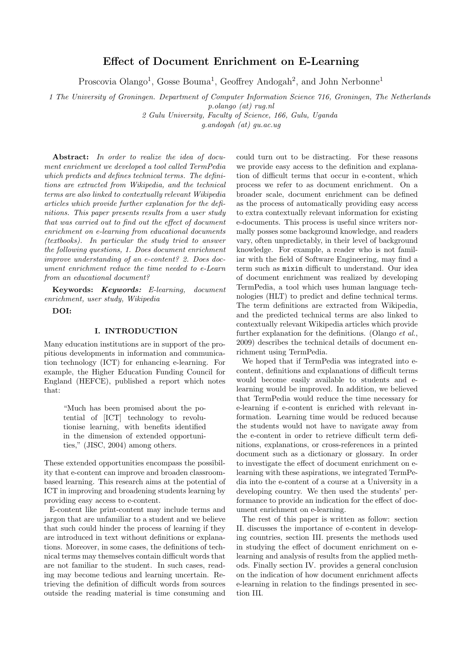# Effect of Document Enrichment on E-Learning

Proscovia Olango<sup>1</sup>, Gosse Bouma<sup>1</sup>, Geoffrey Andogah<sup>2</sup>, and John Nerbonne<sup>1</sup>

1 The University of Groningen. Department of Computer Information Science 716, Groningen, The Netherlands p.olango (at) rug.nl

2 Gulu University, Faculty of Science, 166, Gulu, Uganda

g.andogah (at) gu.ac.ug

Abstract: In order to realize the idea of document enrichment we developed a tool called TermPedia which predicts and defines technical terms. The definitions are extracted from Wikipedia, and the technical terms are also linked to contextually relevant Wikipedia articles which provide further explanation for the definitions. This paper presents results from a user study that was carried out to find out the effect of document enrichment on e-learning from educational documents (textbooks). In particular the study tried to answer the following questions, 1. Does document enrichment improve understanding of an e-content? 2. Does document enrichment reduce the time needed to e-Learn from an educational document?

Keywords: Keywords: E-learning, document enrichment, user study, Wikipedia

DOI:

## I. INTRODUCTION

Many education institutions are in support of the propitious developments in information and communication technology (ICT) for enhancing e-learning. For example, the Higher Education Funding Council for England (HEFCE), published a report which notes that:

> "Much has been promised about the potential of [ICT] technology to revolutionise learning, with benefits identified in the dimension of extended opportunities," (JISC, 2004) among others.

These extended opportunities encompass the possibility that e-content can improve and broaden classroombased learning. This research aims at the potential of ICT in improving and broadening students learning by providing easy access to e-content.

E-content like print-content may include terms and jargon that are unfamiliar to a student and we believe that such could hinder the process of learning if they are introduced in text without definitions or explanations. Moreover, in some cases, the definitions of technical terms may themselves contain difficult words that are not familiar to the student. In such cases, reading may become tedious and learning uncertain. Retrieving the definition of difficult words from sources outside the reading material is time consuming and

could turn out to be distracting. For these reasons we provide easy access to the definition and explanation of difficult terms that occur in e-content, which process we refer to as document enrichment. On a broader scale, document enrichment can be defined as the process of automatically providing easy access to extra contextually relevant information for existing e-documents. This process is useful since writers normally posses some background knowledge, and readers vary, often unpredictably, in their level of background knowledge. For example, a reader who is not familiar with the field of Software Engineering, may find a term such as mixin difficult to understand. Our idea of document enrichment was realized by developing TermPedia, a tool which uses human language technologies (HLT) to predict and define technical terms. The term definitions are extracted from Wikipedia, and the predicted technical terms are also linked to contextually relevant Wikipedia articles which provide further explanation for the definitions. (Olango et al., 2009) describes the technical details of document enrichment using TermPedia.

We hoped that if TermPedia was integrated into econtent, definitions and explanations of difficult terms would become easily available to students and elearning would be improved. In addition, we believed that TermPedia would reduce the time necessary for e-learning if e-content is enriched with relevant information. Learning time would be reduced because the students would not have to navigate away from the e-content in order to retrieve difficult term definitions, explanations, or cross-references in a printed document such as a dictionary or glossary. In order to investigate the effect of document enrichment on elearning with these aspirations, we integrated TermPedia into the e-content of a course at a University in a developing country. We then used the students' performance to provide an indication for the effect of document enrichment on e-learning.

The rest of this paper is written as follow: section II. discusses the importance of e-content in developing countries, section III. presents the methods used in studying the effect of document enrichment on elearning and analysis of results from the applied methods. Finally section IV. provides a general conclusion on the indication of how document enrichment affects e-learning in relation to the findings presented in section III..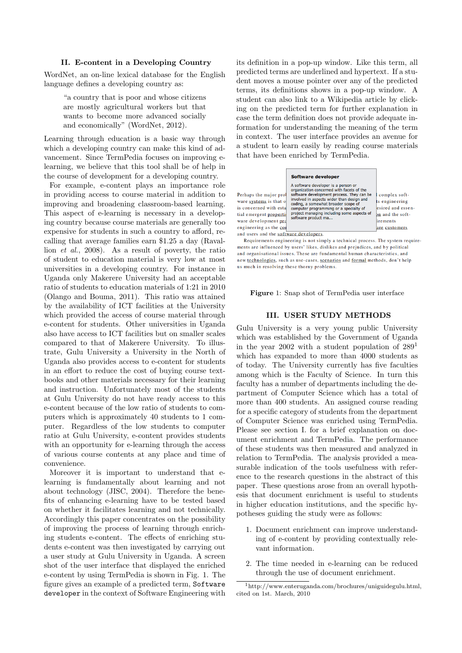### II. E-content in a Developing Country

WordNet, an on-line lexical database for the English language defines a developing country as:

> "a country that is poor and whose citizens are mostly agricultural workers but that wants to become more advanced socially and economically" (WordNet, 2012).

Learning through education is a basic way through which a developing country can make this kind of advancement. Since TermPedia focuses on improving elearning, we believe that this tool shall be of help in the course of development for a developing country.

For example, e-content plays an importance role in providing access to course material in addition to improving and broadening classroom-based learning. This aspect of e-learning is necessary in a developing country because course materials are generally too expensive for students in such a country to afford, recalling that average families earn \$1.25 a day (Ravallion et al., 2008). As a result of poverty, the ratio of student to education material is very low at most universities in a developing country. For instance in Uganda only Makerere University had an acceptable ratio of students to education materials of 1:21 in 2010 (Olango and Bouma, 2011). This ratio was attained by the availability of ICT facilities at the University which provided the access of course material through e-content for students. Other universities in Uganda also have access to ICT facilities but on smaller scales compared to that of Makerere University. To illustrate, Gulu University a University in the North of Uganda also provides access to e-content for students in an effort to reduce the cost of buying course textbooks and other materials necessary for their learning and instruction. Unfortunately most of the students at Gulu University do not have ready access to this e-content because of the low ratio of students to computers which is approximately 40 students to 1 computer. Regardless of the low students to computer ratio at Gulu University, e-content provides students with an opportunity for e-learning through the access of various course contents at any place and time of convenience.

Moreover it is important to understand that elearning is fundamentally about learning and not about technology (JISC, 2004). Therefore the benefits of enhancing e-learning have to be tested based on whether it facilitates learning and not technically. Accordingly this paper concentrates on the possibility of improving the process of learning through enriching students e-content. The effects of enriching students e-content was then investigated by carrying out a user study at Gulu University in Uganda. A screen shot of the user interface that displayed the enriched e-content by using TermPedia is shown in Fig. 1. The figure gives an example of a predicted term, Software developer in the context of Software Engineering with

its definition in a pop-up window. Like this term, all predicted terms are underlined and hypertext. If a student moves a mouse pointer over any of the predicted terms, its definitions shows in a pop-up window. A student can also link to a Wikipedia article by clicking on the predicted term for further explanation in case the term definition does not provide adequate information for understanding the meaning of the term in context. The user interface provides an avenue for a student to learn easily by reading course materials that have been enriched by TermPedia.

Requirements engineering is not simply a technical process. The system requirements are influenced by users' likes, dislikes and prejudices, and by political and organisational issues. These are fundamental human characteristics, and new technologies, such as use-cases, scenarios and formal methods, don't help us much in resolving these thorny problems.

Figure 1: Snap shot of TermPedia user interface

#### III. USER STUDY METHODS

Gulu University is a very young public University which was established by the Government of Uganda in the year 2002 with a student population of  $289<sup>1</sup>$ which has expanded to more than 4000 students as of today. The University currently has five faculties among which is the Faculty of Science. In turn this faculty has a number of departments including the department of Computer Science which has a total of more than 400 students. An assigned course reading for a specific category of students from the department of Computer Science was enriched using TermPedia. Please see section I. for a brief explanation on document enrichment and TermPedia. The performance of these students was then measured and analyzed in relation to TermPedia. The analysis provided a measurable indication of the tools usefulness with reference to the research questions in the abstract of this paper. These questions arose from an overall hypothesis that document enrichment is useful to students in higher education institutions, and the specific hypotheses guiding the study were as follows:

- 1. Document enrichment can improve understanding of e-content by providing contextually relevant information.
- 2. The time needed in e-learning can be reduced through the use of document enrichment.

<sup>1</sup>http://www.enteruganda.com/brochures/uniguidegulu.html, cited on 1st. March, 2010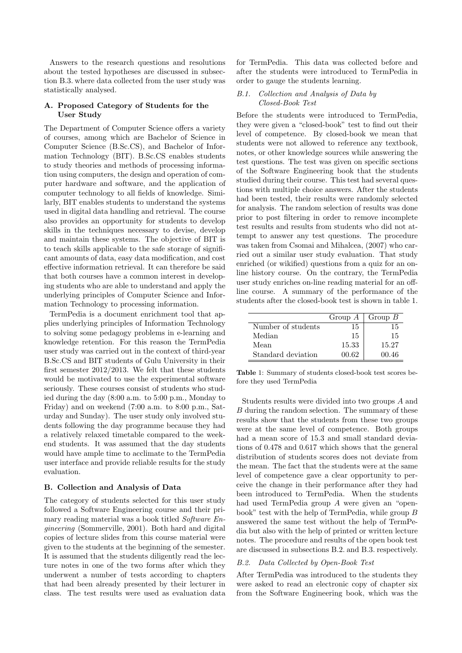Answers to the research questions and resolutions about the tested hypotheses are discussed in subsection B.3. where data collected from the user study was statistically analysed.

### A. Proposed Category of Students for the User Study

The Department of Computer Science offers a variety of courses, among which are Bachelor of Science in Computer Science (B.Sc.CS), and Bachelor of Information Technology (BIT). B.Sc.CS enables students to study theories and methods of processing information using computers, the design and operation of computer hardware and software, and the application of computer technology to all fields of knowledge. Similarly, BIT enables students to understand the systems used in digital data handling and retrieval. The course also provides an opportunity for students to develop skills in the techniques necessary to devise, develop and maintain these systems. The objective of BIT is to teach skills applicable to the safe storage of significant amounts of data, easy data modification, and cost effective information retrieval. It can therefore be said that both courses have a common interest in developing students who are able to understand and apply the underlying principles of Computer Science and Information Technology to processing information.

TermPedia is a document enrichment tool that applies underlying principles of Information Technology to solving some pedagogy problems in e-learning and knowledge retention. For this reason the TermPedia user study was carried out in the context of third-year B.Sc.CS and BIT students of Gulu University in their first semester 2012/2013. We felt that these students would be motivated to use the experimental software seriously. These courses consist of students who studied during the day (8:00 a.m. to 5:00 p.m., Monday to Friday) and on weekend (7:00 a.m. to 8:00 p.m., Saturday and Sunday). The user study only involved students following the day programme because they had a relatively relaxed timetable compared to the weekend students. It was assumed that the day students would have ample time to acclimate to the TermPedia user interface and provide reliable results for the study evaluation.

### B. Collection and Analysis of Data

The category of students selected for this user study followed a Software Engineering course and their primary reading material was a book titled Software Engineering (Sommerville, 2001). Both hard and digital copies of lecture slides from this course material were given to the students at the beginning of the semester. It is assumed that the students diligently read the lecture notes in one of the two forms after which they underwent a number of tests according to chapters that had been already presented by their lecturer in class. The test results were used as evaluation data

for TermPedia. This data was collected before and after the students were introduced to TermPedia in order to gauge the students learning.

### B.1. Collection and Analysis of Data by Closed-Book Test

Before the students were introduced to TermPedia, they were given a "closed-book" test to find out their level of competence. By closed-book we mean that students were not allowed to reference any textbook, notes, or other knowledge sources while answering the test questions. The test was given on specific sections of the Software Engineering book that the students studied during their course. This test had several questions with multiple choice answers. After the students had been tested, their results were randomly selected for analysis. The random selection of results was done prior to post filtering in order to remove incomplete test results and results from students who did not attempt to answer any test questions. The procedure was taken from Csomai and Mihalcea, (2007) who carried out a similar user study evaluation. That study enriched (or wikified) questions from a quiz for an online history course. On the contrary, the TermPedia user study enriches on-line reading material for an offline course. A summary of the performance of the students after the closed-book test is shown in table 1.

|                    |       | Group $A \mid$ Group $B$ |
|--------------------|-------|--------------------------|
| Number of students | 15    | 15                       |
| Median             | 15    | 15                       |
| Mean               | 15.33 | 15.27                    |
| Standard deviation | 00.62 | 00.46                    |

Table 1: Summary of students closed-book test scores before they used TermPedia

Students results were divided into two groups A and B during the random selection. The summary of these results show that the students from these two groups were at the same level of competence. Both groups had a mean score of 15.3 and small standard deviations of 0.478 and 0.617 which shows that the general distribution of students scores does not deviate from the mean. The fact that the students were at the same level of competence gave a clear opportunity to perceive the change in their performance after they had been introduced to TermPedia. When the students had used TermPedia group A were given an "openbook" test with the help of TermPedia, while group B answered the same test without the help of TermPedia but also with the help of printed or written lecture notes. The procedure and results of the open book test are discussed in subsections B.2. and B.3. respectively.

# B.2. Data Collected by Open-Book Test

After TermPedia was introduced to the students they were asked to read an electronic copy of chapter six from the Software Engineering book, which was the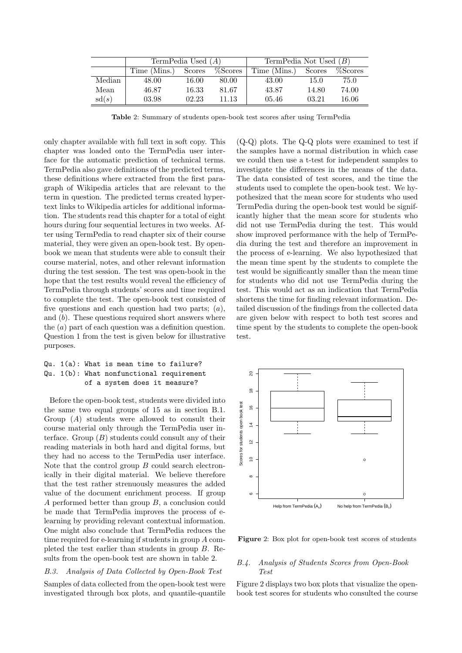|        | TermPedia Used $(A)$ |        | TermPedia Not Used $(B)$ |              |        |         |
|--------|----------------------|--------|--------------------------|--------------|--------|---------|
|        | Time (Mins.)         | Scores | %Scores                  | Time (Mins.) | Scores | %Scores |
| Median | 48.00                | 16.00  | 80.00                    | 43.00        | 15.0   | 75.0    |
| Mean   | 46.87                | 16.33  | 81.67                    | 43.87        | 14.80  | 74.00   |
| sd(s)  | 03.98                | 02.23  | 11.13                    | 05.46        | 03.21  | 16.06   |

Table 2: Summary of students open-book test scores after using TermPedia

only chapter available with full text in soft copy. This chapter was loaded onto the TermPedia user interface for the automatic prediction of technical terms. TermPedia also gave definitions of the predicted terms, these definitions where extracted from the first paragraph of Wikipedia articles that are relevant to the term in question. The predicted terms created hypertext links to Wikipedia articles for additional information. The students read this chapter for a total of eight hours during four sequential lectures in two weeks. After using TermPedia to read chapter six of their course material, they were given an open-book test. By openbook we mean that students were able to consult their course material, notes, and other relevant information during the test session. The test was open-book in the hope that the test results would reveal the efficiency of TermPedia through students' scores and time required to complete the test. The open-book test consisted of five questions and each question had two parts;  $(a)$ , and  $(b)$ . These questions required short answers where the (a) part of each question was a definition question. Question 1 from the test is given below for illustrative purposes.

# Qu. 1(a): What is mean time to failure? Qu. 1(b): What nonfunctional requirement of a system does it measure?

Before the open-book test, students were divided into the same two equal groups of 15 as in section B.1. Group (A) students were allowed to consult their course material only through the TermPedia user interface. Group  $(B)$  students could consult any of their reading materials in both hard and digital forms, but they had no access to the TermPedia user interface. Note that the control group  $B$  could search electronically in their digital material. We believe therefore that the test rather strenuously measures the added value of the document enrichment process. If group A performed better than group B, a conclusion could be made that TermPedia improves the process of elearning by providing relevant contextual information. One might also conclude that TermPedia reduces the time required for e-learning if students in group A completed the test earlier than students in group B. Results from the open-book test are shown in table 2.

#### B.3. Analysis of Data Collected by Open-Book Test

Samples of data collected from the open-book test were investigated through box plots, and quantile-quantile

(Q-Q) plots. The Q-Q plots were examined to test if the samples have a normal distribution in which case we could then use a t-test for independent samples to investigate the differences in the means of the data. The data consisted of test scores, and the time the students used to complete the open-book test. We hypothesized that the mean score for students who used TermPedia during the open-book test would be significantly higher that the mean score for students who did not use TermPedia during the test. This would show improved performance with the help of TermPedia during the test and therefore an improvement in the process of e-learning. We also hypothesized that the mean time spent by the students to complete the test would be significantly smaller than the mean time for students who did not use TermPedia during the test. This would act as an indication that TermPedia shortens the time for finding relevant information. Detailed discussion of the findings from the collected data are given below with respect to both test scores and time spent by the students to complete the open-book test.



Figure 2: Box plot for open-book test scores of students

### B.4. Analysis of Students Scores from Open-Book Test

Figure 2 displays two box plots that visualize the openbook test scores for students who consulted the course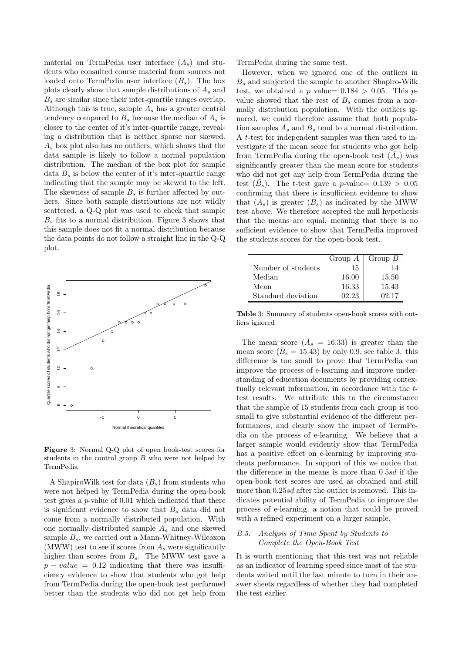material on TermPedia user interface  $(A_s)$  and students who consulted course material from sources not loaded onto TermPedia user interface  $(B_s)$ . The box plots clearly show that sample distributions of  $A_s$  and  $B_s$  are similar since their inter-quartile ranges overlap. Although this is true, sample  $A_s$  has a greater central tendency compared to  $B_s$  because the median of  $A_s$  is closer to the center of it's inter-quartile range, revealing a distribution that is neither sparse nor skewed.  $A_s$  box plot also has no outliers, which shows that the data sample is likely to follow a normal population distribution. The median of the box plot for sample data  $B_s$  is below the center of it's inter-quartile range indicating that the sample may be skewed to the left. The skewness of sample  $B_s$  is further affected by outliers. Since both sample distributions are not wildly scattered, a Q-Q plot was used to check that sample  $B<sub>s</sub>$  fits to a normal distribution. Figure 3 shows that this sample does not fit a normal distribution because the data points do not follow a straight line in the Q-Q plot.



Figure 3: Normal Q-Q plot of open book-test scores for students in the control group  $B$  who were not helped by TermPedia

A ShapiroWilk test for data  $(B_s)$  from students who were not helped by TermPedia during the open-book test gives a p-value of 0.01 which indicated that there is significant evidence to show that  $B_s$  data did not come from a normally distributed population. With one normally distributed sample  $A_s$  and one skewed sample  $B_s$ , we carried out a Mann-Whitney-Wilcoxon (MWW) test to see if scores from  $A_s$  were significantly higher than scores from  $B_s$ . The MWW test gave a  $p - value = 0.12$  indicating that there was insufficiency evidence to show that students who got help from TermPedia during the open-book test performed better than the students who did not get help from

TermPedia during the same test.

However, when we ignored one of the outliers in  $B_s$  and subjected the sample to another Shapiro-Wilk test, we obtained a p value=  $0.184 > 0.05$ . This pvalue showed that the rest of  $B_s$  comes from a normally distribution population. With the outliers ignored, we could therefore assume that both population samples  $A_s$  and  $B_s$  tend to a normal distribution. A t-test for independent samples was then used to investigate if the mean score for students who got help from TermPedia during the open-book test  $(\tilde{A}_s)$  was significantly greater than the mean score for students who did not get any help from TermPedia during the test  $(\bar{B}_s)$ . The t-test gave a p-value= 0.139 > 0.05 confirming that there is insufficient evidence to show that  $(\bar{A}_s)$  is greater  $(\bar{B}_s)$  as indicated by the MWW test above. We therefore accepted the null hypothesis that the means are equal, meaning that there is no sufficient evidence to show that TermPedia improved the students scores for the open-book test.

|                    | Group $A$ | $\mid$ Group B |
|--------------------|-----------|----------------|
| Number of students | 15        |                |
| Median             | 16.00     | 15.50          |
| Mean               | 16.33     | 15.43          |
| Standard deviation | 02.23     | 02.17          |

Table 3: Summary of students open-book scores with outliers ignored

The mean score  $(\bar{A}_s = 16.33)$  is greater than the mean score ( $\overline{B}_s = 15.43$ ) by only 0.9, see table 3. this difference is too small to prove that TermPedia can improve the process of e-learning and improve understanding of education documents by providing contextually relevant information, in accordance with the ttest results. We attribute this to the circumstance that the sample of 15 students from each group is too small to give substantial evidence of the different performances, and clearly show the impact of TermPedia on the process of e-learning. We believe that a larger sample would evidently show that TermPedia has a positive effect on e-learning by improving students performance. In support of this we notice that the difference in the means is more than 0.5sd if the open-book test scores are used as obtained and still more than  $0.25sd$  after the outlier is removed. This indicates potential ability of TermPedia to improve the process of e-learning, a notion that could be proved with a refined experiment on a larger sample.

# B.5. Analysis of Time Spent by Students to Complete the Open-Book Test

It is worth mentioning that this test was not reliable as an indicator of learning speed since most of the students waited until the last minute to turn in their answer sheets regardless of whether they had completed the test earlier.